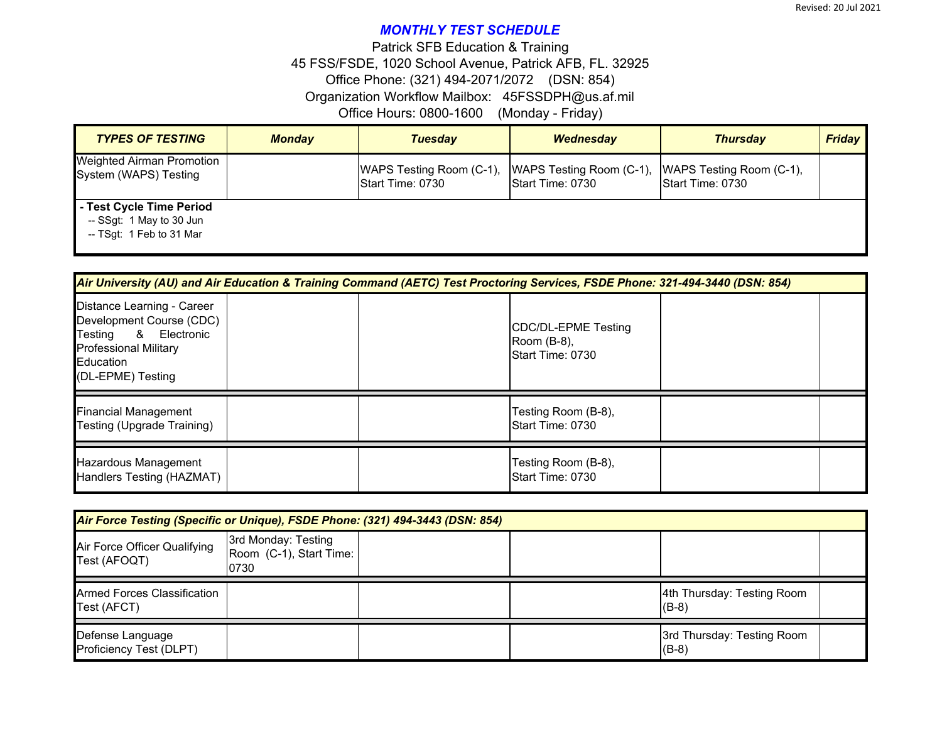## *MONTHLY TEST SCHEDULE*

Office Hours: 0800-1600 (Monday - Friday) 45 FSS/FSDE, 1020 School Avenue, Patrick AFB, FL. 32925 Organization Workflow Mailbox: 45FSSDPH@us.af.mil Office Phone: (321) 494-2071/2072 (DSN: 854) Patrick SFB Education & Training

| <b>TYPES OF TESTING</b>                                                          | <b>Monday</b> | <b>Tuesday</b>                               | Wednesday                                    | <b>Thursday</b>                              | <b>Friday</b> |
|----------------------------------------------------------------------------------|---------------|----------------------------------------------|----------------------------------------------|----------------------------------------------|---------------|
| <b>Weighted Airman Promotion</b><br>System (WAPS) Testing                        |               | WAPS Testing Room (C-1),<br>Start Time: 0730 | WAPS Testing Room (C-1),<br>Start Time: 0730 | WAPS Testing Room (C-1),<br>Start Time: 0730 |               |
| - Test Cycle Time Period<br>-- SSqt: 1 May to 30 Jun<br>-- TSqt: 1 Feb to 31 Mar |               |                                              |                                              |                                              |               |

| Air University (AU) and Air Education & Training Command (AETC) Test Proctoring Services, FSDE Phone: 321-494-3440 (DSN: 854)                       |  |  |                                                        |  |  |  |  |
|-----------------------------------------------------------------------------------------------------------------------------------------------------|--|--|--------------------------------------------------------|--|--|--|--|
| Distance Learning - Career<br>Development Course (CDC)<br>& Electronic<br>Testing<br><b>Professional Military</b><br>Education<br>(DL-EPME) Testing |  |  | CDC/DL-EPME Testing<br>Room (B-8),<br>Start Time: 0730 |  |  |  |  |
| <b>Financial Management</b><br>Testing (Upgrade Training)                                                                                           |  |  | Testing Room (B-8),<br>Start Time: 0730                |  |  |  |  |
| Hazardous Management<br>Handlers Testing (HAZMAT)                                                                                                   |  |  | Testing Room (B-8),<br>Start Time: 0730                |  |  |  |  |

| Air Force Testing (Specific or Unique), FSDE Phone: (321) 494-3443 (DSN: 854) |                                                        |  |  |                                       |  |  |
|-------------------------------------------------------------------------------|--------------------------------------------------------|--|--|---------------------------------------|--|--|
| Air Force Officer Qualifying<br>Test (AFOQT)                                  | 3rd Monday: Testing<br>Room (C-1), Start Time:<br>0730 |  |  |                                       |  |  |
| <b>Armed Forces Classification</b><br>Test (AFCT)                             |                                                        |  |  | 4th Thursday: Testing Room<br>$(B-8)$ |  |  |
| Defense Language<br>Proficiency Test (DLPT)                                   |                                                        |  |  | 3rd Thursday: Testing Room<br>$(B-8)$ |  |  |